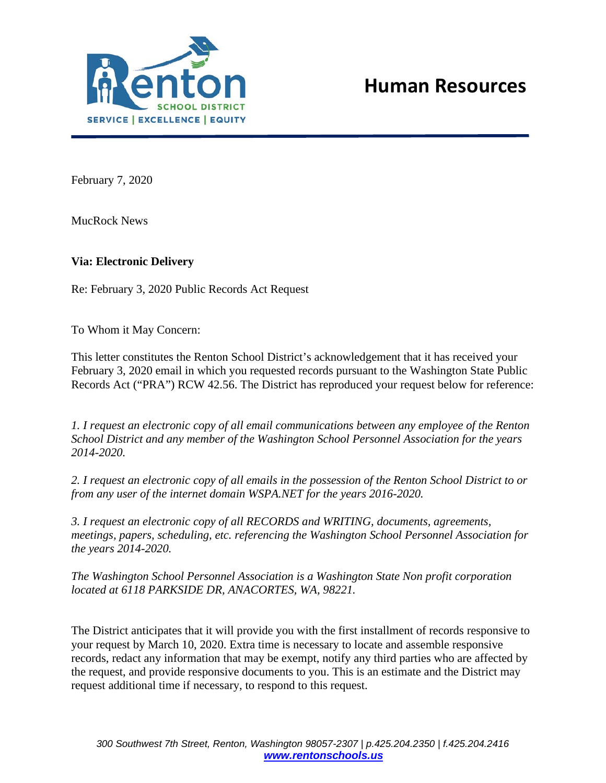

February 7, 2020

MucRock News

## **Via: Electronic Delivery**

Re: February 3, 2020 Public Records Act Request

To Whom it May Concern:

This letter constitutes the Renton School District's acknowledgement that it has received your February 3, 2020 email in which you requested records pursuant to the Washington State Public Records Act ("PRA") RCW 42.56. The District has reproduced your request below for reference:

*1. I request an electronic copy of all email communications between any employee of the Renton School District and any member of the Washington School Personnel Association for the years 2014-2020.*

*2. I request an electronic copy of all emails in the possession of the Renton School District to or from any user of the internet domain WSPA.NET for the years 2016-2020.*

*3. I request an electronic copy of all RECORDS and WRITING, documents, agreements, meetings, papers, scheduling, etc. referencing the Washington School Personnel Association for the years 2014-2020.*

*The Washington School Personnel Association is a Washington State Non profit corporation located at 6118 PARKSIDE DR, ANACORTES, WA, 98221.*

The District anticipates that it will provide you with the first installment of records responsive to your request by March 10, 2020. Extra time is necessary to locate and assemble responsive records, redact any information that may be exempt, notify any third parties who are affected by the request, and provide responsive documents to you. This is an estimate and the District may request additional time if necessary, to respond to this request.